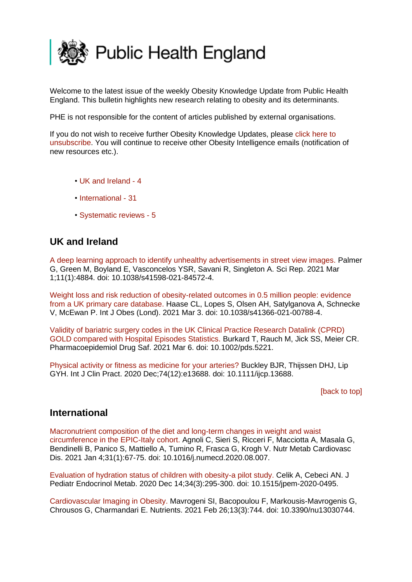<span id="page-0-2"></span>

Welcome to the latest issue of the weekly Obesity Knowledge Update from Public Health England. This bulletin highlights new research relating to obesity and its determinants.

PHE is not responsible for the content of articles published by external organisations.

If you do not wish to receive further Obesity Knowledge Updates, please click here to [unsubscribe.](mailto:ObesityIntelligence@phe.gov.uk?subject=Unsubscribe%20from%20Knowledge%20Update%20mailing%20list) You will continue to receive other Obesity Intelligence emails (notification of new resources etc.).

- • [UK and Ireland -](#page-0-0) 4
- [International -](#page-0-1) 31
- [Systematic reviews -](#page-3-0) 5

# <span id="page-0-0"></span>**UK and Ireland**

[A deep learning approach to identify unhealthy advertisements in street view images.](https://eur01.safelinks.protection.outlook.com/?url=https%3A%2F%2Fpubmed.ncbi.nlm.nih.gov%2F33649490%2F&data=04%7C01%7CMaggie.Graham%40phe.gov.uk%7Cf4b58510f8cd4773809e08d8e2dd0301%7Cee4e14994a354b2ead475f3cf9de8666%7C0%7C0%7C637508786147080177%7CUnknown%7CTWFpbGZsb3d8eyJWIjoiMC4wLjAwMDAiLCJQIjoiV2luMzIiLCJBTiI6Ik1haWwiLCJXVCI6Mn0%3D%7C1000&sdata=A%2BQuyM9VZi2EzcKJ9glOZfPELPR%2BWoCIRTvbCtFBZSA%3D&reserved=0) Palmer G, Green M, Boyland E, Vasconcelos YSR, Savani R, Singleton A. Sci Rep. 2021 Mar 1;11(1):4884. doi: 10.1038/s41598-021-84572-4.

[Weight loss and risk reduction of obesity-related outcomes in 0.5 million people: evidence](https://eur01.safelinks.protection.outlook.com/?url=https%3A%2F%2Fpubmed.ncbi.nlm.nih.gov%2F33658682%2F&data=04%7C01%7CMaggie.Graham%40phe.gov.uk%7Cf4b58510f8cd4773809e08d8e2dd0301%7Cee4e14994a354b2ead475f3cf9de8666%7C0%7C0%7C637508786147250081%7CUnknown%7CTWFpbGZsb3d8eyJWIjoiMC4wLjAwMDAiLCJQIjoiV2luMzIiLCJBTiI6Ik1haWwiLCJXVCI6Mn0%3D%7C1000&sdata=JubHWl44aMeBF9YA3InE2B7Qf%2BlXhQyS1h%2FSrJLGOXQ%3D&reserved=0)  [from a UK primary care database. H](https://eur01.safelinks.protection.outlook.com/?url=https%3A%2F%2Fpubmed.ncbi.nlm.nih.gov%2F33658682%2F&data=04%7C01%7CMaggie.Graham%40phe.gov.uk%7Cf4b58510f8cd4773809e08d8e2dd0301%7Cee4e14994a354b2ead475f3cf9de8666%7C0%7C0%7C637508786147250081%7CUnknown%7CTWFpbGZsb3d8eyJWIjoiMC4wLjAwMDAiLCJQIjoiV2luMzIiLCJBTiI6Ik1haWwiLCJXVCI6Mn0%3D%7C1000&sdata=JubHWl44aMeBF9YA3InE2B7Qf%2BlXhQyS1h%2FSrJLGOXQ%3D&reserved=0)aase CL, Lopes S, Olsen AH, Satylganova A, Schnecke V, McEwan P. Int J Obes (Lond). 2021 Mar 3. doi: 10.1038/s41366-021-00788-4.

[Validity of bariatric surgery codes in the UK Clinical Practice Research Datalink \(CPRD\)](https://eur01.safelinks.protection.outlook.com/?url=https%3A%2F%2Fpubmed.ncbi.nlm.nih.gov%2F33675245%2F&data=04%7C01%7CMaggie.Graham%40phe.gov.uk%7Cf4b58510f8cd4773809e08d8e2dd0301%7Cee4e14994a354b2ead475f3cf9de8666%7C0%7C0%7C637508786147280070%7CUnknown%7CTWFpbGZsb3d8eyJWIjoiMC4wLjAwMDAiLCJQIjoiV2luMzIiLCJBTiI6Ik1haWwiLCJXVCI6Mn0%3D%7C1000&sdata=BewgNMb1kHHpCvrfiz4USEKDBoOXSkjUOY%2Bhw8aJ1ks%3D&reserved=0)  [GOLD compared with Hospital Episodes Statistics. B](https://eur01.safelinks.protection.outlook.com/?url=https%3A%2F%2Fpubmed.ncbi.nlm.nih.gov%2F33675245%2F&data=04%7C01%7CMaggie.Graham%40phe.gov.uk%7Cf4b58510f8cd4773809e08d8e2dd0301%7Cee4e14994a354b2ead475f3cf9de8666%7C0%7C0%7C637508786147280070%7CUnknown%7CTWFpbGZsb3d8eyJWIjoiMC4wLjAwMDAiLCJQIjoiV2luMzIiLCJBTiI6Ik1haWwiLCJXVCI6Mn0%3D%7C1000&sdata=BewgNMb1kHHpCvrfiz4USEKDBoOXSkjUOY%2Bhw8aJ1ks%3D&reserved=0)urkard T, Rauch M, Jick SS, Meier CR. Pharmacoepidemiol Drug Saf. 2021 Mar 6. doi: 10.1002/pds.5221.

[Physical activity or fitness as medicine for your arteries? B](https://eur01.safelinks.protection.outlook.com/?url=https%3A%2F%2Fpubmed.ncbi.nlm.nih.gov%2F33459472%2F&data=04%7C01%7CMaggie.Graham%40phe.gov.uk%7Cf4b58510f8cd4773809e08d8e2dd0301%7Cee4e14994a354b2ead475f3cf9de8666%7C0%7C0%7C637508786147110162%7CUnknown%7CTWFpbGZsb3d8eyJWIjoiMC4wLjAwMDAiLCJQIjoiV2luMzIiLCJBTiI6Ik1haWwiLCJXVCI6Mn0%3D%7C1000&sdata=q%2FoPqtB1HymTAIZXUGok9tODO%2FU%2BscKKuOy8JKzem%2BY%3D&reserved=0)uckley BJR, Thijssen DHJ, Lip GYH. Int J Clin Pract. 2020 Dec;74(12):e13688. doi: 10.1111/ijcp.13688.

[\[back to top\]](#page-0-2)

## <span id="page-0-1"></span>**International**

[Macronutrient composition of the diet and long-term changes in weight and waist](https://eur01.safelinks.protection.outlook.com/?url=https%3A%2F%2Fpubmed.ncbi.nlm.nih.gov%2F33097407%2F&data=04%7C01%7CMaggie.Graham%40phe.gov.uk%7Cf4b58510f8cd4773809e08d8e2dd0301%7Cee4e14994a354b2ead475f3cf9de8666%7C0%7C0%7C637508786147130154%7CUnknown%7CTWFpbGZsb3d8eyJWIjoiMC4wLjAwMDAiLCJQIjoiV2luMzIiLCJBTiI6Ik1haWwiLCJXVCI6Mn0%3D%7C1000&sdata=8fvaLfoEy6QD%2BglAcWs7tLEQslu9hi5nb2DcTh9mgWc%3D&reserved=0)  [circumference in the EPIC-Italy cohort. A](https://eur01.safelinks.protection.outlook.com/?url=https%3A%2F%2Fpubmed.ncbi.nlm.nih.gov%2F33097407%2F&data=04%7C01%7CMaggie.Graham%40phe.gov.uk%7Cf4b58510f8cd4773809e08d8e2dd0301%7Cee4e14994a354b2ead475f3cf9de8666%7C0%7C0%7C637508786147130154%7CUnknown%7CTWFpbGZsb3d8eyJWIjoiMC4wLjAwMDAiLCJQIjoiV2luMzIiLCJBTiI6Ik1haWwiLCJXVCI6Mn0%3D%7C1000&sdata=8fvaLfoEy6QD%2BglAcWs7tLEQslu9hi5nb2DcTh9mgWc%3D&reserved=0)gnoli C, Sieri S, Ricceri F, Macciotta A, Masala G, Bendinelli B, Panico S, Mattiello A, Tumino R, Frasca G, Krogh V. Nutr Metab Cardiovasc Dis. 2021 Jan 4;31(1):67-75. doi: 10.1016/j.numecd.2020.08.007.

[Evaluation of hydration status of children with obesity-a pilot study. C](https://eur01.safelinks.protection.outlook.com/?url=https%3A%2F%2Fpubmed.ncbi.nlm.nih.gov%2F33675213%2F&data=04%7C01%7CMaggie.Graham%40phe.gov.uk%7Cf4b58510f8cd4773809e08d8e2dd0301%7Cee4e14994a354b2ead475f3cf9de8666%7C0%7C0%7C637508786147130154%7CUnknown%7CTWFpbGZsb3d8eyJWIjoiMC4wLjAwMDAiLCJQIjoiV2luMzIiLCJBTiI6Ik1haWwiLCJXVCI6Mn0%3D%7C1000&sdata=PjY9scYR3hNXmwn4zmR0sJrI5Lvffu4tlWtewylcrEM%3D&reserved=0)elik A, Cebeci AN. J Pediatr Endocrinol Metab. 2020 Dec 14;34(3):295-300. doi: 10.1515/jpem-2020-0495.

[Cardiovascular Imaging in Obesity. M](https://eur01.safelinks.protection.outlook.com/?url=https%3A%2F%2Fpubmed.ncbi.nlm.nih.gov%2F33652678%2F&data=04%7C01%7CMaggie.Graham%40phe.gov.uk%7Cf4b58510f8cd4773809e08d8e2dd0301%7Cee4e14994a354b2ead475f3cf9de8666%7C0%7C0%7C637508786147140145%7CUnknown%7CTWFpbGZsb3d8eyJWIjoiMC4wLjAwMDAiLCJQIjoiV2luMzIiLCJBTiI6Ik1haWwiLCJXVCI6Mn0%3D%7C1000&sdata=3oJq0rVel%2B6uR%2FSmmX6XA0lNrcZ1xwMCJe1UX8Feg5I%3D&reserved=0)avrogeni SI, Bacopoulou F, Markousis-Mavrogenis G, Chrousos G, Charmandari E. Nutrients. 2021 Feb 26;13(3):744. doi: 10.3390/nu13030744.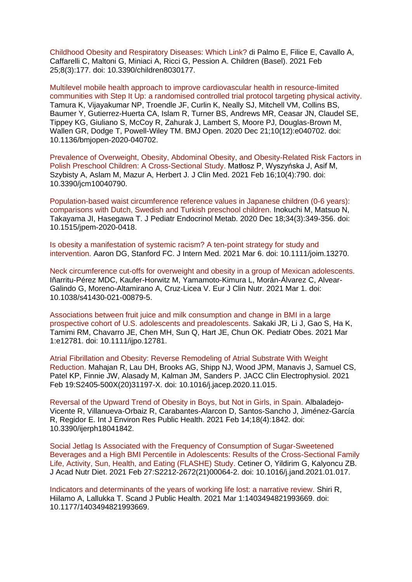[Childhood Obesity and Respiratory Diseases: Which Link? d](https://eur01.safelinks.protection.outlook.com/?url=https%3A%2F%2Fpubmed.ncbi.nlm.nih.gov%2F33669035%2F&data=04%7C01%7CMaggie.Graham%40phe.gov.uk%7Cf4b58510f8cd4773809e08d8e2dd0301%7Cee4e14994a354b2ead475f3cf9de8666%7C0%7C0%7C637508786147160131%7CUnknown%7CTWFpbGZsb3d8eyJWIjoiMC4wLjAwMDAiLCJQIjoiV2luMzIiLCJBTiI6Ik1haWwiLCJXVCI6Mn0%3D%7C1000&sdata=S4ITmuBdXeR%2B6yYsEQ%2FasRW7X%2Fz19isoz7OMKnInNCE%3D&reserved=0)i Palmo E, Filice E, Cavallo A, Caffarelli C, Maltoni G, Miniaci A, Ricci G, Pession A. Children (Basel). 2021 Feb 25;8(3):177. doi: 10.3390/children8030177.

[Multilevel mobile health approach to improve cardiovascular health in resource-limited](https://eur01.safelinks.protection.outlook.com/?url=https%3A%2F%2Fpubmed.ncbi.nlm.nih.gov%2F33371027%2F&data=04%7C01%7CMaggie.Graham%40phe.gov.uk%7Cf4b58510f8cd4773809e08d8e2dd0301%7Cee4e14994a354b2ead475f3cf9de8666%7C0%7C0%7C637508786147170123%7CUnknown%7CTWFpbGZsb3d8eyJWIjoiMC4wLjAwMDAiLCJQIjoiV2luMzIiLCJBTiI6Ik1haWwiLCJXVCI6Mn0%3D%7C1000&sdata=HBVo1JKeHm9w0k9SUOPumj3c7PmYReuw6JVunbpOL%2Fo%3D&reserved=0)  [communities with Step It Up: a randomised controlled trial protocol targeting physical activity.](https://eur01.safelinks.protection.outlook.com/?url=https%3A%2F%2Fpubmed.ncbi.nlm.nih.gov%2F33371027%2F&data=04%7C01%7CMaggie.Graham%40phe.gov.uk%7Cf4b58510f8cd4773809e08d8e2dd0301%7Cee4e14994a354b2ead475f3cf9de8666%7C0%7C0%7C637508786147170123%7CUnknown%7CTWFpbGZsb3d8eyJWIjoiMC4wLjAwMDAiLCJQIjoiV2luMzIiLCJBTiI6Ik1haWwiLCJXVCI6Mn0%3D%7C1000&sdata=HBVo1JKeHm9w0k9SUOPumj3c7PmYReuw6JVunbpOL%2Fo%3D&reserved=0)  Tamura K, Vijayakumar NP, Troendle JF, Curlin K, Neally SJ, Mitchell VM, Collins BS, Baumer Y, Gutierrez-Huerta CA, Islam R, Turner BS, Andrews MR, Ceasar JN, Claudel SE, Tippey KG, Giuliano S, McCoy R, Zahurak J, Lambert S, Moore PJ, Douglas-Brown M, Wallen GR, Dodge T, Powell-Wiley TM. BMJ Open. 2020 Dec 21;10(12):e040702. doi: 10.1136/bmjopen-2020-040702.

[Prevalence of Overweight, Obesity, Abdominal Obesity, and Obesity-Related Risk Factors in](https://eur01.safelinks.protection.outlook.com/?url=https%3A%2F%2Fpubmed.ncbi.nlm.nih.gov%2F33669323%2F&data=04%7C01%7CMaggie.Graham%40phe.gov.uk%7Cf4b58510f8cd4773809e08d8e2dd0301%7Cee4e14994a354b2ead475f3cf9de8666%7C0%7C0%7C637508786147180122%7CUnknown%7CTWFpbGZsb3d8eyJWIjoiMC4wLjAwMDAiLCJQIjoiV2luMzIiLCJBTiI6Ik1haWwiLCJXVCI6Mn0%3D%7C1000&sdata=TvcADgG2uk8rJ2LCNHxNxt4UDZgp7bzXedokVMlBScw%3D&reserved=0)  [Polish Preschool Children: A Cross-Sectional Study. M](https://eur01.safelinks.protection.outlook.com/?url=https%3A%2F%2Fpubmed.ncbi.nlm.nih.gov%2F33669323%2F&data=04%7C01%7CMaggie.Graham%40phe.gov.uk%7Cf4b58510f8cd4773809e08d8e2dd0301%7Cee4e14994a354b2ead475f3cf9de8666%7C0%7C0%7C637508786147180122%7CUnknown%7CTWFpbGZsb3d8eyJWIjoiMC4wLjAwMDAiLCJQIjoiV2luMzIiLCJBTiI6Ik1haWwiLCJXVCI6Mn0%3D%7C1000&sdata=TvcADgG2uk8rJ2LCNHxNxt4UDZgp7bzXedokVMlBScw%3D&reserved=0)atłosz P, Wyszyńska J, Asif M, Szybisty A, Aslam M, Mazur A, Herbert J. J Clin Med. 2021 Feb 16;10(4):790. doi: 10.3390/jcm10040790.

[Population-based waist circumference reference values in Japanese children \(0-6 years\):](https://eur01.safelinks.protection.outlook.com/?url=https%3A%2F%2Fpubmed.ncbi.nlm.nih.gov%2F33675207%2F&data=04%7C01%7CMaggie.Graham%40phe.gov.uk%7Cf4b58510f8cd4773809e08d8e2dd0301%7Cee4e14994a354b2ead475f3cf9de8666%7C0%7C0%7C637508786147190120%7CUnknown%7CTWFpbGZsb3d8eyJWIjoiMC4wLjAwMDAiLCJQIjoiV2luMzIiLCJBTiI6Ik1haWwiLCJXVCI6Mn0%3D%7C1000&sdata=hcRLNaveqzVumIau9LWmOsgI1FPdWI%2BHHKxoNzyxMUg%3D&reserved=0)  [comparisons with Dutch, Swedish and Turkish preschool children. I](https://eur01.safelinks.protection.outlook.com/?url=https%3A%2F%2Fpubmed.ncbi.nlm.nih.gov%2F33675207%2F&data=04%7C01%7CMaggie.Graham%40phe.gov.uk%7Cf4b58510f8cd4773809e08d8e2dd0301%7Cee4e14994a354b2ead475f3cf9de8666%7C0%7C0%7C637508786147190120%7CUnknown%7CTWFpbGZsb3d8eyJWIjoiMC4wLjAwMDAiLCJQIjoiV2luMzIiLCJBTiI6Ik1haWwiLCJXVCI6Mn0%3D%7C1000&sdata=hcRLNaveqzVumIau9LWmOsgI1FPdWI%2BHHKxoNzyxMUg%3D&reserved=0)nokuchi M, Matsuo N, Takayama JI, Hasegawa T. J Pediatr Endocrinol Metab. 2020 Dec 18;34(3):349-356. doi: 10.1515/jpem-2020-0418.

[Is obesity a manifestation of systemic racism? A ten-point strategy for study and](https://eur01.safelinks.protection.outlook.com/?url=https%3A%2F%2Fpubmed.ncbi.nlm.nih.gov%2F33675581%2F&data=04%7C01%7CMaggie.Graham%40phe.gov.uk%7Cf4b58510f8cd4773809e08d8e2dd0301%7Cee4e14994a354b2ead475f3cf9de8666%7C0%7C0%7C637508786147200116%7CUnknown%7CTWFpbGZsb3d8eyJWIjoiMC4wLjAwMDAiLCJQIjoiV2luMzIiLCJBTiI6Ik1haWwiLCJXVCI6Mn0%3D%7C1000&sdata=QkwgY41naTrjVcbC%2B6BgLeIF8fsoHYgXKCVkQAzHjEc%3D&reserved=0)  [intervention. A](https://eur01.safelinks.protection.outlook.com/?url=https%3A%2F%2Fpubmed.ncbi.nlm.nih.gov%2F33675581%2F&data=04%7C01%7CMaggie.Graham%40phe.gov.uk%7Cf4b58510f8cd4773809e08d8e2dd0301%7Cee4e14994a354b2ead475f3cf9de8666%7C0%7C0%7C637508786147200116%7CUnknown%7CTWFpbGZsb3d8eyJWIjoiMC4wLjAwMDAiLCJQIjoiV2luMzIiLCJBTiI6Ik1haWwiLCJXVCI6Mn0%3D%7C1000&sdata=QkwgY41naTrjVcbC%2B6BgLeIF8fsoHYgXKCVkQAzHjEc%3D&reserved=0)aron DG, Stanford FC. J Intern Med. 2021 Mar 6. doi: 10.1111/joim.13270.

[Neck circumference cut-offs for overweight and obesity in a group of Mexican adolescents.](https://eur01.safelinks.protection.outlook.com/?url=https%3A%2F%2Fpubmed.ncbi.nlm.nih.gov%2F33649525%2F&data=04%7C01%7CMaggie.Graham%40phe.gov.uk%7Cf4b58510f8cd4773809e08d8e2dd0301%7Cee4e14994a354b2ead475f3cf9de8666%7C0%7C0%7C637508786147200116%7CUnknown%7CTWFpbGZsb3d8eyJWIjoiMC4wLjAwMDAiLCJQIjoiV2luMzIiLCJBTiI6Ik1haWwiLCJXVCI6Mn0%3D%7C1000&sdata=41Dx3lmRdqJ3Q0RzZFAoE8RouexSHastroxCeIe23%2Fs%3D&reserved=0)  Iñarritu-Pérez MDC, Kaufer-Horwitz M, Yamamoto-Kimura L, Morán-Álvarez C, Alvear-Galindo G, Moreno-Altamirano A, Cruz-Licea V. Eur J Clin Nutr. 2021 Mar 1. doi: 10.1038/s41430-021-00879-5.

[Associations between fruit juice and milk consumption and change in BMI in a large](https://eur01.safelinks.protection.outlook.com/?url=https%3A%2F%2Fpubmed.ncbi.nlm.nih.gov%2F33648027%2F&data=04%7C01%7CMaggie.Graham%40phe.gov.uk%7Cf4b58510f8cd4773809e08d8e2dd0301%7Cee4e14994a354b2ead475f3cf9de8666%7C0%7C0%7C637508786147210106%7CUnknown%7CTWFpbGZsb3d8eyJWIjoiMC4wLjAwMDAiLCJQIjoiV2luMzIiLCJBTiI6Ik1haWwiLCJXVCI6Mn0%3D%7C1000&sdata=CuJ57ILZhzRx2TQrOfpYY45L%2BfZkr25BtKb3U1enTZM%3D&reserved=0)  [prospective cohort of U.S. adolescents and preadolescents. S](https://eur01.safelinks.protection.outlook.com/?url=https%3A%2F%2Fpubmed.ncbi.nlm.nih.gov%2F33648027%2F&data=04%7C01%7CMaggie.Graham%40phe.gov.uk%7Cf4b58510f8cd4773809e08d8e2dd0301%7Cee4e14994a354b2ead475f3cf9de8666%7C0%7C0%7C637508786147210106%7CUnknown%7CTWFpbGZsb3d8eyJWIjoiMC4wLjAwMDAiLCJQIjoiV2luMzIiLCJBTiI6Ik1haWwiLCJXVCI6Mn0%3D%7C1000&sdata=CuJ57ILZhzRx2TQrOfpYY45L%2BfZkr25BtKb3U1enTZM%3D&reserved=0)akaki JR, Li J, Gao S, Ha K, Tamimi RM, Chavarro JE, Chen MH, Sun Q, Hart JE, Chun OK. Pediatr Obes. 2021 Mar 1:e12781. doi: 10.1111/ijpo.12781.

[Atrial Fibrillation and Obesity: Reverse Remodeling of Atrial Substrate With Weight](https://eur01.safelinks.protection.outlook.com/?url=https%3A%2F%2Fpubmed.ncbi.nlm.nih.gov%2F33640353%2F&data=04%7C01%7CMaggie.Graham%40phe.gov.uk%7Cf4b58510f8cd4773809e08d8e2dd0301%7Cee4e14994a354b2ead475f3cf9de8666%7C0%7C0%7C637508786147220101%7CUnknown%7CTWFpbGZsb3d8eyJWIjoiMC4wLjAwMDAiLCJQIjoiV2luMzIiLCJBTiI6Ik1haWwiLCJXVCI6Mn0%3D%7C1000&sdata=jspjOrGWkpkj5LcjIj86jjNNgo8DpwBejEocE2gA6wg%3D&reserved=0)  [Reduction. M](https://eur01.safelinks.protection.outlook.com/?url=https%3A%2F%2Fpubmed.ncbi.nlm.nih.gov%2F33640353%2F&data=04%7C01%7CMaggie.Graham%40phe.gov.uk%7Cf4b58510f8cd4773809e08d8e2dd0301%7Cee4e14994a354b2ead475f3cf9de8666%7C0%7C0%7C637508786147220101%7CUnknown%7CTWFpbGZsb3d8eyJWIjoiMC4wLjAwMDAiLCJQIjoiV2luMzIiLCJBTiI6Ik1haWwiLCJXVCI6Mn0%3D%7C1000&sdata=jspjOrGWkpkj5LcjIj86jjNNgo8DpwBejEocE2gA6wg%3D&reserved=0)ahajan R, Lau DH, Brooks AG, Shipp NJ, Wood JPM, Manavis J, Samuel CS, Patel KP, Finnie JW, Alasady M, Kalman JM, Sanders P. JACC Clin Electrophysiol. 2021 Feb 19:S2405-500X(20)31197-X. doi: 10.1016/j.jacep.2020.11.015.

[Reversal of the Upward Trend of Obesity in Boys, but Not in Girls, in Spain. A](https://eur01.safelinks.protection.outlook.com/?url=https%3A%2F%2Fpubmed.ncbi.nlm.nih.gov%2F33672817%2F&data=04%7C01%7CMaggie.Graham%40phe.gov.uk%7Cf4b58510f8cd4773809e08d8e2dd0301%7Cee4e14994a354b2ead475f3cf9de8666%7C0%7C0%7C637508786147220101%7CUnknown%7CTWFpbGZsb3d8eyJWIjoiMC4wLjAwMDAiLCJQIjoiV2luMzIiLCJBTiI6Ik1haWwiLCJXVCI6Mn0%3D%7C1000&sdata=acyaLVWA5EwMgbm3gNuoG5zVE%2Fzmu7dtmgIpUoC8NYc%3D&reserved=0)lbaladejo-Vicente R, Villanueva-Orbaiz R, Carabantes-Alarcon D, Santos-Sancho J, Jiménez-García R, Regidor E. Int J Environ Res Public Health. 2021 Feb 14;18(4):1842. doi: 10.3390/ijerph18041842.

[Social Jetlag Is Associated with the Frequency of Consumption of Sugar-Sweetened](https://eur01.safelinks.protection.outlook.com/?url=https%3A%2F%2Fpubmed.ncbi.nlm.nih.gov%2F33653680%2F&data=04%7C01%7CMaggie.Graham%40phe.gov.uk%7Cf4b58510f8cd4773809e08d8e2dd0301%7Cee4e14994a354b2ead475f3cf9de8666%7C0%7C0%7C637508786147240088%7CUnknown%7CTWFpbGZsb3d8eyJWIjoiMC4wLjAwMDAiLCJQIjoiV2luMzIiLCJBTiI6Ik1haWwiLCJXVCI6Mn0%3D%7C1000&sdata=O8rOlaPFQ%2B4%2BgwD32%2BzCrEL%2BcT9%2FSiEfpHqhw%2Fh2eGc%3D&reserved=0)  [Beverages and a High BMI Percentile in Adolescents: Results of the Cross-Sectional Family](https://eur01.safelinks.protection.outlook.com/?url=https%3A%2F%2Fpubmed.ncbi.nlm.nih.gov%2F33653680%2F&data=04%7C01%7CMaggie.Graham%40phe.gov.uk%7Cf4b58510f8cd4773809e08d8e2dd0301%7Cee4e14994a354b2ead475f3cf9de8666%7C0%7C0%7C637508786147240088%7CUnknown%7CTWFpbGZsb3d8eyJWIjoiMC4wLjAwMDAiLCJQIjoiV2luMzIiLCJBTiI6Ik1haWwiLCJXVCI6Mn0%3D%7C1000&sdata=O8rOlaPFQ%2B4%2BgwD32%2BzCrEL%2BcT9%2FSiEfpHqhw%2Fh2eGc%3D&reserved=0)  [Life, Activity, Sun, Health, and Eating \(FLASHE\) Study. C](https://eur01.safelinks.protection.outlook.com/?url=https%3A%2F%2Fpubmed.ncbi.nlm.nih.gov%2F33653680%2F&data=04%7C01%7CMaggie.Graham%40phe.gov.uk%7Cf4b58510f8cd4773809e08d8e2dd0301%7Cee4e14994a354b2ead475f3cf9de8666%7C0%7C0%7C637508786147240088%7CUnknown%7CTWFpbGZsb3d8eyJWIjoiMC4wLjAwMDAiLCJQIjoiV2luMzIiLCJBTiI6Ik1haWwiLCJXVCI6Mn0%3D%7C1000&sdata=O8rOlaPFQ%2B4%2BgwD32%2BzCrEL%2BcT9%2FSiEfpHqhw%2Fh2eGc%3D&reserved=0)etiner O, Yildirim G, Kalyoncu ZB. J Acad Nutr Diet. 2021 Feb 27:S2212-2672(21)00064-2. doi: 10.1016/j.jand.2021.01.017.

[Indicators and determinants of the years of working life lost:](https://eur01.safelinks.protection.outlook.com/?url=https%3A%2F%2Fpubmed.ncbi.nlm.nih.gov%2F33645306%2F&data=04%7C01%7CMaggie.Graham%40phe.gov.uk%7Cf4b58510f8cd4773809e08d8e2dd0301%7Cee4e14994a354b2ead475f3cf9de8666%7C0%7C0%7C637508786147240088%7CUnknown%7CTWFpbGZsb3d8eyJWIjoiMC4wLjAwMDAiLCJQIjoiV2luMzIiLCJBTiI6Ik1haWwiLCJXVCI6Mn0%3D%7C1000&sdata=o%2FBfZEFEmQJObyTsmgaUDvO4%2ByULNKrX%2BhrWsGIcjVM%3D&reserved=0) a narrative review. Shiri R, Hiilamo A, Lallukka T. Scand J Public Health. 2021 Mar 1:1403494821993669. doi: 10.1177/1403494821993669.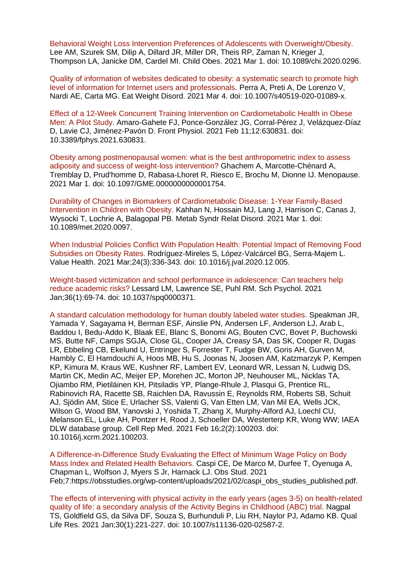[Behavioral Weight Loss Intervention Preferences of Adolescents with Overweight/Obesity.](https://eur01.safelinks.protection.outlook.com/?url=https%3A%2F%2Fpubmed.ncbi.nlm.nih.gov%2F33646015%2F&data=04%7C01%7CMaggie.Graham%40phe.gov.uk%7Cf4b58510f8cd4773809e08d8e2dd0301%7Cee4e14994a354b2ead475f3cf9de8666%7C0%7C0%7C637508786147250081%7CUnknown%7CTWFpbGZsb3d8eyJWIjoiMC4wLjAwMDAiLCJQIjoiV2luMzIiLCJBTiI6Ik1haWwiLCJXVCI6Mn0%3D%7C1000&sdata=bVE6M5BwJONv%2BV%2FOFsL0iUVReYeiu6jJ7zK0y7%2FRSfQ%3D&reserved=0)  Lee AM, Szurek SM, Dilip A, Dillard JR, Miller DR, Theis RP, Zaman N, Krieger J, Thompson LA, Janicke DM, Cardel MI. Child Obes. 2021 Mar 1. doi: 10.1089/chi.2020.0296.

[Quality of information of websites dedicated to obesity: a systematic search to promote high](https://eur01.safelinks.protection.outlook.com/?url=https%3A%2F%2Fpubmed.ncbi.nlm.nih.gov%2F33665782%2F&data=04%7C01%7CMaggie.Graham%40phe.gov.uk%7Cf4b58510f8cd4773809e08d8e2dd0301%7Cee4e14994a354b2ead475f3cf9de8666%7C0%7C0%7C637508786147260078%7CUnknown%7CTWFpbGZsb3d8eyJWIjoiMC4wLjAwMDAiLCJQIjoiV2luMzIiLCJBTiI6Ik1haWwiLCJXVCI6Mn0%3D%7C1000&sdata=%2FlJOpC4zWXzzqknQHQ1fPJ4yrkQ7O7FtAz0WDLOv0IY%3D&reserved=0)  [level of information for Internet users and professionals. P](https://eur01.safelinks.protection.outlook.com/?url=https%3A%2F%2Fpubmed.ncbi.nlm.nih.gov%2F33665782%2F&data=04%7C01%7CMaggie.Graham%40phe.gov.uk%7Cf4b58510f8cd4773809e08d8e2dd0301%7Cee4e14994a354b2ead475f3cf9de8666%7C0%7C0%7C637508786147260078%7CUnknown%7CTWFpbGZsb3d8eyJWIjoiMC4wLjAwMDAiLCJQIjoiV2luMzIiLCJBTiI6Ik1haWwiLCJXVCI6Mn0%3D%7C1000&sdata=%2FlJOpC4zWXzzqknQHQ1fPJ4yrkQ7O7FtAz0WDLOv0IY%3D&reserved=0)erra A, Preti A, De Lorenzo V, Nardi AE, Carta MG. Eat Weight Disord. 2021 Mar 4. doi: 10.1007/s40519-020-01089-x.

[Effect of a 12-Week Concurrent Training Intervention on Cardiometabolic Health in Obese](https://eur01.safelinks.protection.outlook.com/?url=https%3A%2F%2Fpubmed.ncbi.nlm.nih.gov%2F33643072%2F&data=04%7C01%7CMaggie.Graham%40phe.gov.uk%7Cf4b58510f8cd4773809e08d8e2dd0301%7Cee4e14994a354b2ead475f3cf9de8666%7C0%7C0%7C637508786147270075%7CUnknown%7CTWFpbGZsb3d8eyJWIjoiMC4wLjAwMDAiLCJQIjoiV2luMzIiLCJBTiI6Ik1haWwiLCJXVCI6Mn0%3D%7C1000&sdata=Mb8V%2F7%2BUIT7XVmVUzuhE7ykZHEUXd6dOeyFef7d6Jv0%3D&reserved=0)  [Men: A Pilot](https://eur01.safelinks.protection.outlook.com/?url=https%3A%2F%2Fpubmed.ncbi.nlm.nih.gov%2F33643072%2F&data=04%7C01%7CMaggie.Graham%40phe.gov.uk%7Cf4b58510f8cd4773809e08d8e2dd0301%7Cee4e14994a354b2ead475f3cf9de8666%7C0%7C0%7C637508786147270075%7CUnknown%7CTWFpbGZsb3d8eyJWIjoiMC4wLjAwMDAiLCJQIjoiV2luMzIiLCJBTiI6Ik1haWwiLCJXVCI6Mn0%3D%7C1000&sdata=Mb8V%2F7%2BUIT7XVmVUzuhE7ykZHEUXd6dOeyFef7d6Jv0%3D&reserved=0) Study. Amaro-Gahete FJ, Ponce-González JG, Corral-Pérez J, Velázquez-Díaz D, Lavie CJ, Jiménez-Pavón D. Front Physiol. 2021 Feb 11;12:630831. doi: 10.3389/fphys.2021.630831.

[Obesity among postmenopausal women: what is the best anthropometric index to assess](https://eur01.safelinks.protection.outlook.com/?url=https%3A%2F%2Fpubmed.ncbi.nlm.nih.gov%2F33651744%2F&data=04%7C01%7CMaggie.Graham%40phe.gov.uk%7Cf4b58510f8cd4773809e08d8e2dd0301%7Cee4e14994a354b2ead475f3cf9de8666%7C0%7C0%7C637508786147290069%7CUnknown%7CTWFpbGZsb3d8eyJWIjoiMC4wLjAwMDAiLCJQIjoiV2luMzIiLCJBTiI6Ik1haWwiLCJXVCI6Mn0%3D%7C1000&sdata=pitd9LgNKJFleBL5VeNyZnl3isgTCZaRos220qIklFQ%3D&reserved=0)  [adiposity and success of weight-loss intervention? G](https://eur01.safelinks.protection.outlook.com/?url=https%3A%2F%2Fpubmed.ncbi.nlm.nih.gov%2F33651744%2F&data=04%7C01%7CMaggie.Graham%40phe.gov.uk%7Cf4b58510f8cd4773809e08d8e2dd0301%7Cee4e14994a354b2ead475f3cf9de8666%7C0%7C0%7C637508786147290069%7CUnknown%7CTWFpbGZsb3d8eyJWIjoiMC4wLjAwMDAiLCJQIjoiV2luMzIiLCJBTiI6Ik1haWwiLCJXVCI6Mn0%3D%7C1000&sdata=pitd9LgNKJFleBL5VeNyZnl3isgTCZaRos220qIklFQ%3D&reserved=0)hachem A, Marcotte-Chénard A, Tremblay D, Prud'homme D, Rabasa-Lhoret R, Riesco E, Brochu M, Dionne IJ. Menopause. 2021 Mar 1. doi: 10.1097/GME.0000000000001754.

[Durability of Changes in Biomarkers of Cardiometabolic Disease: 1-Year Family-Based](https://eur01.safelinks.protection.outlook.com/?url=https%3A%2F%2Fpubmed.ncbi.nlm.nih.gov%2F33650888%2F&data=04%7C01%7CMaggie.Graham%40phe.gov.uk%7Cf4b58510f8cd4773809e08d8e2dd0301%7Cee4e14994a354b2ead475f3cf9de8666%7C0%7C0%7C637508786147300063%7CUnknown%7CTWFpbGZsb3d8eyJWIjoiMC4wLjAwMDAiLCJQIjoiV2luMzIiLCJBTiI6Ik1haWwiLCJXVCI6Mn0%3D%7C1000&sdata=bDft1TdJ74Uf%2FZiGu1sexEdfwxWFSZI0WgPektr%2F5JA%3D&reserved=0)  [Intervention in Children with Obesity. K](https://eur01.safelinks.protection.outlook.com/?url=https%3A%2F%2Fpubmed.ncbi.nlm.nih.gov%2F33650888%2F&data=04%7C01%7CMaggie.Graham%40phe.gov.uk%7Cf4b58510f8cd4773809e08d8e2dd0301%7Cee4e14994a354b2ead475f3cf9de8666%7C0%7C0%7C637508786147300063%7CUnknown%7CTWFpbGZsb3d8eyJWIjoiMC4wLjAwMDAiLCJQIjoiV2luMzIiLCJBTiI6Ik1haWwiLCJXVCI6Mn0%3D%7C1000&sdata=bDft1TdJ74Uf%2FZiGu1sexEdfwxWFSZI0WgPektr%2F5JA%3D&reserved=0)ahhan N, Hossain MJ, Lang J, Harrison C, Canas J, Wysocki T, Lochrie A, Balagopal PB. Metab Syndr Relat Disord. 2021 Mar 1. doi: 10.1089/met.2020.0097.

[When Industrial Policies Conflict With Population Health: Potential Impact of Removing Food](https://eur01.safelinks.protection.outlook.com/?url=https%3A%2F%2Fpubmed.ncbi.nlm.nih.gov%2F33641766%2F&data=04%7C01%7CMaggie.Graham%40phe.gov.uk%7Cf4b58510f8cd4773809e08d8e2dd0301%7Cee4e14994a354b2ead475f3cf9de8666%7C0%7C0%7C637508786147300063%7CUnknown%7CTWFpbGZsb3d8eyJWIjoiMC4wLjAwMDAiLCJQIjoiV2luMzIiLCJBTiI6Ik1haWwiLCJXVCI6Mn0%3D%7C1000&sdata=32yP2yviPhiFKRzIHzvrKroAx1VB3Mn20QjdFlcE90E%3D&reserved=0)  [Subsidies on Obesity Rates. R](https://eur01.safelinks.protection.outlook.com/?url=https%3A%2F%2Fpubmed.ncbi.nlm.nih.gov%2F33641766%2F&data=04%7C01%7CMaggie.Graham%40phe.gov.uk%7Cf4b58510f8cd4773809e08d8e2dd0301%7Cee4e14994a354b2ead475f3cf9de8666%7C0%7C0%7C637508786147300063%7CUnknown%7CTWFpbGZsb3d8eyJWIjoiMC4wLjAwMDAiLCJQIjoiV2luMzIiLCJBTiI6Ik1haWwiLCJXVCI6Mn0%3D%7C1000&sdata=32yP2yviPhiFKRzIHzvrKroAx1VB3Mn20QjdFlcE90E%3D&reserved=0)odríguez-Mireles S, López-Valcárcel BG, Serra-Majem L. Value Health. 2021 Mar;24(3):336-343. doi: 10.1016/j.jval.2020.12.005.

[Weight-based victimization and school performance in adolescence: Can teachers help](https://eur01.safelinks.protection.outlook.com/?url=https%3A%2F%2Fpubmed.ncbi.nlm.nih.gov%2F33646811%2F&data=04%7C01%7CMaggie.Graham%40phe.gov.uk%7Cf4b58510f8cd4773809e08d8e2dd0301%7Cee4e14994a354b2ead475f3cf9de8666%7C0%7C0%7C637508786147320046%7CUnknown%7CTWFpbGZsb3d8eyJWIjoiMC4wLjAwMDAiLCJQIjoiV2luMzIiLCJBTiI6Ik1haWwiLCJXVCI6Mn0%3D%7C1000&sdata=MIYIkHQIRsTZUCYhmG8LXMR2ExCTzqHrCo3EMxs1n48%3D&reserved=0)  [reduce academic risks? L](https://eur01.safelinks.protection.outlook.com/?url=https%3A%2F%2Fpubmed.ncbi.nlm.nih.gov%2F33646811%2F&data=04%7C01%7CMaggie.Graham%40phe.gov.uk%7Cf4b58510f8cd4773809e08d8e2dd0301%7Cee4e14994a354b2ead475f3cf9de8666%7C0%7C0%7C637508786147320046%7CUnknown%7CTWFpbGZsb3d8eyJWIjoiMC4wLjAwMDAiLCJQIjoiV2luMzIiLCJBTiI6Ik1haWwiLCJXVCI6Mn0%3D%7C1000&sdata=MIYIkHQIRsTZUCYhmG8LXMR2ExCTzqHrCo3EMxs1n48%3D&reserved=0)essard LM, Lawrence SE, Puhl RM. Sch Psychol. 2021 Jan;36(1):69-74. doi: 10.1037/spq0000371.

[A standard calculation methodology for human doubly labeled water studies. S](https://eur01.safelinks.protection.outlook.com/?url=https%3A%2F%2Fpubmed.ncbi.nlm.nih.gov%2F33665639%2F&data=04%7C01%7CMaggie.Graham%40phe.gov.uk%7Cf4b58510f8cd4773809e08d8e2dd0301%7Cee4e14994a354b2ead475f3cf9de8666%7C0%7C0%7C637508786147330038%7CUnknown%7CTWFpbGZsb3d8eyJWIjoiMC4wLjAwMDAiLCJQIjoiV2luMzIiLCJBTiI6Ik1haWwiLCJXVCI6Mn0%3D%7C1000&sdata=A%2BboZYR58R%2FG3avOWERMMjcV40v7tadlElBMnwKwgqE%3D&reserved=0)peakman JR, Yamada Y, Sagayama H, Berman ESF, Ainslie PN, Andersen LF, Anderson LJ, Arab L, Baddou I, Bedu-Addo K, Blaak EE, Blanc S, Bonomi AG, Bouten CVC, Bovet P, Buchowski MS, Butte NF, Camps SGJA, Close GL, Cooper JA, Creasy SA, Das SK, Cooper R, Dugas LR, Ebbeling CB, Ekelund U, Entringer S, Forrester T, Fudge BW, Goris AH, Gurven M, Hambly C, El Hamdouchi A, Hoos MB, Hu S, Joonas N, Joosen AM, Katzmarzyk P, Kempen KP, Kimura M, Kraus WE, Kushner RF, Lambert EV, Leonard WR, Lessan N, Ludwig DS, Martin CK, Medin AC, Meijer EP, Morehen JC, Morton JP, Neuhouser ML, Nicklas TA, Ojiambo RM, Pietiläinen KH, Pitsiladis YP, Plange-Rhule J, Plasqui G, Prentice RL, Rabinovich RA, Racette SB, Raichlen DA, Ravussin E, Reynolds RM, Roberts SB, Schuit AJ, Sjödin AM, Stice E, Urlacher SS, Valenti G, Van Etten LM, Van Mil EA, Wells JCK, Wilson G, Wood BM, Yanovski J, Yoshida T, Zhang X, Murphy-Alford AJ, Loechl CU, Melanson EL, Luke AH, Pontzer H, Rood J, Schoeller DA, Westerterp KR, Wong WW; IAEA DLW database group. Cell Rep Med. 2021 Feb 16;2(2):100203. doi: 10.1016/j.xcrm.2021.100203.

[A Difference-in-Difference Study Evaluating the Effect of Minimum Wage Policy on Body](https://eur01.safelinks.protection.outlook.com/?url=https%3A%2F%2Fpubmed.ncbi.nlm.nih.gov%2F33665650%2F&data=04%7C01%7CMaggie.Graham%40phe.gov.uk%7Cf4b58510f8cd4773809e08d8e2dd0301%7Cee4e14994a354b2ead475f3cf9de8666%7C0%7C0%7C637508786147340029%7CUnknown%7CTWFpbGZsb3d8eyJWIjoiMC4wLjAwMDAiLCJQIjoiV2luMzIiLCJBTiI6Ik1haWwiLCJXVCI6Mn0%3D%7C1000&sdata=1h9BREFzabN3YrsArH%2BLJzvsPpmbbEcnBn1nG502Lto%3D&reserved=0)  [Mass Index and Related Health Behaviors. C](https://eur01.safelinks.protection.outlook.com/?url=https%3A%2F%2Fpubmed.ncbi.nlm.nih.gov%2F33665650%2F&data=04%7C01%7CMaggie.Graham%40phe.gov.uk%7Cf4b58510f8cd4773809e08d8e2dd0301%7Cee4e14994a354b2ead475f3cf9de8666%7C0%7C0%7C637508786147340029%7CUnknown%7CTWFpbGZsb3d8eyJWIjoiMC4wLjAwMDAiLCJQIjoiV2luMzIiLCJBTiI6Ik1haWwiLCJXVCI6Mn0%3D%7C1000&sdata=1h9BREFzabN3YrsArH%2BLJzvsPpmbbEcnBn1nG502Lto%3D&reserved=0)aspi CE, De Marco M, Durfee T, Oyenuga A, Chapman L, Wolfson J, Myers S Jr, Harnack LJ. Obs Stud. 2021 Feb;7:https://obsstudies.org/wp-content/uploads/2021/02/caspi\_obs\_studies\_published.pdf.

[The effects of intervening with physical activity in the early years \(ages 3-5\) on health-related](https://eur01.safelinks.protection.outlook.com/?url=https%3A%2F%2Fpubmed.ncbi.nlm.nih.gov%2F32700186%2F&data=04%7C01%7CMaggie.Graham%40phe.gov.uk%7Cf4b58510f8cd4773809e08d8e2dd0301%7Cee4e14994a354b2ead475f3cf9de8666%7C0%7C0%7C637508786147360016%7CUnknown%7CTWFpbGZsb3d8eyJWIjoiMC4wLjAwMDAiLCJQIjoiV2luMzIiLCJBTiI6Ik1haWwiLCJXVCI6Mn0%3D%7C1000&sdata=iAcRZ9HNOISpi%2FQ3xznwRjVSyVjR7ESRiO4tcZvZOe8%3D&reserved=0)  [quality of life: a secondary analysis of the Activity Begins in Childhood \(ABC\) trial. N](https://eur01.safelinks.protection.outlook.com/?url=https%3A%2F%2Fpubmed.ncbi.nlm.nih.gov%2F32700186%2F&data=04%7C01%7CMaggie.Graham%40phe.gov.uk%7Cf4b58510f8cd4773809e08d8e2dd0301%7Cee4e14994a354b2ead475f3cf9de8666%7C0%7C0%7C637508786147360016%7CUnknown%7CTWFpbGZsb3d8eyJWIjoiMC4wLjAwMDAiLCJQIjoiV2luMzIiLCJBTiI6Ik1haWwiLCJXVCI6Mn0%3D%7C1000&sdata=iAcRZ9HNOISpi%2FQ3xznwRjVSyVjR7ESRiO4tcZvZOe8%3D&reserved=0)agpal TS, Goldfield GS, da Silva DF, Souza S, Burhunduli P, Liu RH, Naylor PJ, Adamo KB. Qual Life Res. 2021 Jan;30(1):221-227. doi: 10.1007/s11136-020-02587-2.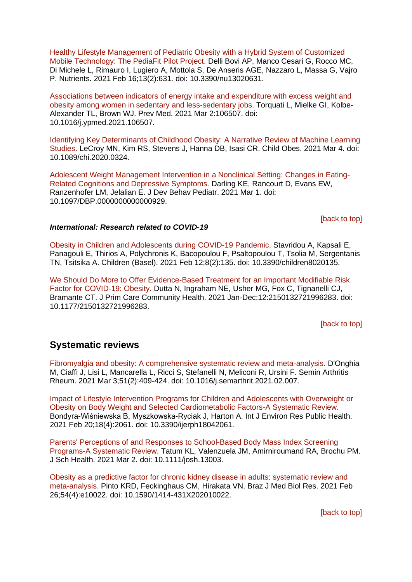[Healthy Lifestyle Management of Pediatric Obesity with a Hybrid System of Customized](https://eur01.safelinks.protection.outlook.com/?url=https%3A%2F%2Fpubmed.ncbi.nlm.nih.gov%2F33669174%2F&data=04%7C01%7CMaggie.Graham%40phe.gov.uk%7Cf4b58510f8cd4773809e08d8e2dd0301%7Cee4e14994a354b2ead475f3cf9de8666%7C0%7C0%7C637508786147360016%7CUnknown%7CTWFpbGZsb3d8eyJWIjoiMC4wLjAwMDAiLCJQIjoiV2luMzIiLCJBTiI6Ik1haWwiLCJXVCI6Mn0%3D%7C1000&sdata=4RzDoe33KO%2F%2FxNcAb1GHYpykY5dmotOm4sAbI4U0%2B%2BM%3D&reserved=0)  [Mobile Technology: The PediaFit Pilot Project. D](https://eur01.safelinks.protection.outlook.com/?url=https%3A%2F%2Fpubmed.ncbi.nlm.nih.gov%2F33669174%2F&data=04%7C01%7CMaggie.Graham%40phe.gov.uk%7Cf4b58510f8cd4773809e08d8e2dd0301%7Cee4e14994a354b2ead475f3cf9de8666%7C0%7C0%7C637508786147360016%7CUnknown%7CTWFpbGZsb3d8eyJWIjoiMC4wLjAwMDAiLCJQIjoiV2luMzIiLCJBTiI6Ik1haWwiLCJXVCI6Mn0%3D%7C1000&sdata=4RzDoe33KO%2F%2FxNcAb1GHYpykY5dmotOm4sAbI4U0%2B%2BM%3D&reserved=0)elli Bovi AP, Manco Cesari G, Rocco MC, Di Michele L, Rimauro I, Lugiero A, Mottola S, De Anseris AGE, Nazzaro L, Massa G, Vajro P. Nutrients. 2021 Feb 16;13(2):631. doi: 10.3390/nu13020631.

[Associations between indicators of energy intake and expenditure with excess weight and](https://eur01.safelinks.protection.outlook.com/?url=https%3A%2F%2Fpubmed.ncbi.nlm.nih.gov%2F33667468%2F&data=04%7C01%7CMaggie.Graham%40phe.gov.uk%7Cf4b58510f8cd4773809e08d8e2dd0301%7Cee4e14994a354b2ead475f3cf9de8666%7C0%7C0%7C637508786147370011%7CUnknown%7CTWFpbGZsb3d8eyJWIjoiMC4wLjAwMDAiLCJQIjoiV2luMzIiLCJBTiI6Ik1haWwiLCJXVCI6Mn0%3D%7C1000&sdata=i%2F6k25S5HdYCG%2B9cvs5mJnAymGbnRQpaviNwq7G50Ag%3D&reserved=0)  [obesity among women in sedentary and less-sedentary jobs. T](https://eur01.safelinks.protection.outlook.com/?url=https%3A%2F%2Fpubmed.ncbi.nlm.nih.gov%2F33667468%2F&data=04%7C01%7CMaggie.Graham%40phe.gov.uk%7Cf4b58510f8cd4773809e08d8e2dd0301%7Cee4e14994a354b2ead475f3cf9de8666%7C0%7C0%7C637508786147370011%7CUnknown%7CTWFpbGZsb3d8eyJWIjoiMC4wLjAwMDAiLCJQIjoiV2luMzIiLCJBTiI6Ik1haWwiLCJXVCI6Mn0%3D%7C1000&sdata=i%2F6k25S5HdYCG%2B9cvs5mJnAymGbnRQpaviNwq7G50Ag%3D&reserved=0)orquati L, Mielke GI, Kolbe-Alexander TL, Brown WJ. Prev Med. 2021 Mar 2:106507. doi: 10.1016/j.ypmed.2021.106507.

[Identifying Key Determinants of Childhood Obesity: A Narrative Review of Machine Learning](https://eur01.safelinks.protection.outlook.com/?url=https%3A%2F%2Fpubmed.ncbi.nlm.nih.gov%2F33661719%2F&data=04%7C01%7CMaggie.Graham%40phe.gov.uk%7Cf4b58510f8cd4773809e08d8e2dd0301%7Cee4e14994a354b2ead475f3cf9de8666%7C0%7C0%7C637508786147380009%7CUnknown%7CTWFpbGZsb3d8eyJWIjoiMC4wLjAwMDAiLCJQIjoiV2luMzIiLCJBTiI6Ik1haWwiLCJXVCI6Mn0%3D%7C1000&sdata=20XiUuRkhmBUwEEKJ1H03Fz%2BOe6zWXkCcKnnsbCj89w%3D&reserved=0)  [Studies. L](https://eur01.safelinks.protection.outlook.com/?url=https%3A%2F%2Fpubmed.ncbi.nlm.nih.gov%2F33661719%2F&data=04%7C01%7CMaggie.Graham%40phe.gov.uk%7Cf4b58510f8cd4773809e08d8e2dd0301%7Cee4e14994a354b2ead475f3cf9de8666%7C0%7C0%7C637508786147380009%7CUnknown%7CTWFpbGZsb3d8eyJWIjoiMC4wLjAwMDAiLCJQIjoiV2luMzIiLCJBTiI6Ik1haWwiLCJXVCI6Mn0%3D%7C1000&sdata=20XiUuRkhmBUwEEKJ1H03Fz%2BOe6zWXkCcKnnsbCj89w%3D&reserved=0)eCroy MN, Kim RS, Stevens J, Hanna DB, Isasi CR. Child Obes. 2021 Mar 4. doi: 10.1089/chi.2020.0324.

[Adolescent Weight Management Intervention in a Nonclinical Setting: Changes in Eating-](https://eur01.safelinks.protection.outlook.com/?url=https%3A%2F%2Fpubmed.ncbi.nlm.nih.gov%2F33660668%2F&data=04%7C01%7CMaggie.Graham%40phe.gov.uk%7Cf4b58510f8cd4773809e08d8e2dd0301%7Cee4e14994a354b2ead475f3cf9de8666%7C0%7C0%7C637508786147390004%7CUnknown%7CTWFpbGZsb3d8eyJWIjoiMC4wLjAwMDAiLCJQIjoiV2luMzIiLCJBTiI6Ik1haWwiLCJXVCI6Mn0%3D%7C1000&sdata=olffMvArzafit09QnsPBB3Hc%2BMz%2F6t%2FGps6DX7GySz4%3D&reserved=0)[Related Cognitions and Depressive Symptoms. D](https://eur01.safelinks.protection.outlook.com/?url=https%3A%2F%2Fpubmed.ncbi.nlm.nih.gov%2F33660668%2F&data=04%7C01%7CMaggie.Graham%40phe.gov.uk%7Cf4b58510f8cd4773809e08d8e2dd0301%7Cee4e14994a354b2ead475f3cf9de8666%7C0%7C0%7C637508786147390004%7CUnknown%7CTWFpbGZsb3d8eyJWIjoiMC4wLjAwMDAiLCJQIjoiV2luMzIiLCJBTiI6Ik1haWwiLCJXVCI6Mn0%3D%7C1000&sdata=olffMvArzafit09QnsPBB3Hc%2BMz%2F6t%2FGps6DX7GySz4%3D&reserved=0)arling KE, Rancourt D, Evans EW, Ranzenhofer LM, Jelalian E. J Dev Behav Pediatr. 2021 Mar 1. doi: 10.1097/DBP.0000000000000929.

[\[back to top\]](#page-0-2)

#### *International: Research related to COVID-19*

[Obesity in Children and Adolescents during COVID-19 Pandemic. S](https://eur01.safelinks.protection.outlook.com/?url=https%3A%2F%2Fpubmed.ncbi.nlm.nih.gov%2F33673078%2F&data=04%7C01%7CMaggie.Graham%40phe.gov.uk%7Cf4b58510f8cd4773809e08d8e2dd0301%7Cee4e14994a354b2ead475f3cf9de8666%7C0%7C0%7C637508786147170123%7CUnknown%7CTWFpbGZsb3d8eyJWIjoiMC4wLjAwMDAiLCJQIjoiV2luMzIiLCJBTiI6Ik1haWwiLCJXVCI6Mn0%3D%7C1000&sdata=Ymx4Wl8L%2BbhzEJg0YbIvdtjZRRC65dhtrSa7v1OGAxQ%3D&reserved=0)tavridou A, Kapsali E, Panagouli E, Thirios A, Polychronis K, Bacopoulou F, Psaltopoulou T, Tsolia M, Sergentanis TN, Tsitsika A. Children (Basel). 2021 Feb 12;8(2):135. doi: 10.3390/children8020135.

[We Should Do More to Offer Evidence-Based Treatment for an Important Modifiable Risk](https://eur01.safelinks.protection.outlook.com/?url=https%3A%2F%2Fpubmed.ncbi.nlm.nih.gov%2F33648370%2F&data=04%7C01%7CMaggie.Graham%40phe.gov.uk%7Cf4b58510f8cd4773809e08d8e2dd0301%7Cee4e14994a354b2ead475f3cf9de8666%7C0%7C0%7C637508786147310053%7CUnknown%7CTWFpbGZsb3d8eyJWIjoiMC4wLjAwMDAiLCJQIjoiV2luMzIiLCJBTiI6Ik1haWwiLCJXVCI6Mn0%3D%7C1000&sdata=Ibd1nov%2Fds0jVo2P%2FmNYZsuViUW%2FEcYp8VxbxQFGGdE%3D&reserved=0)  [Factor for COVID-19: Obesity. D](https://eur01.safelinks.protection.outlook.com/?url=https%3A%2F%2Fpubmed.ncbi.nlm.nih.gov%2F33648370%2F&data=04%7C01%7CMaggie.Graham%40phe.gov.uk%7Cf4b58510f8cd4773809e08d8e2dd0301%7Cee4e14994a354b2ead475f3cf9de8666%7C0%7C0%7C637508786147310053%7CUnknown%7CTWFpbGZsb3d8eyJWIjoiMC4wLjAwMDAiLCJQIjoiV2luMzIiLCJBTiI6Ik1haWwiLCJXVCI6Mn0%3D%7C1000&sdata=Ibd1nov%2Fds0jVo2P%2FmNYZsuViUW%2FEcYp8VxbxQFGGdE%3D&reserved=0)utta N, Ingraham NE, Usher MG, Fox C, Tignanelli CJ, Bramante CT. J Prim Care Community Health. 2021 Jan-Dec;12:2150132721996283. doi: 10.1177/2150132721996283.

[\[back to top\]](#page-0-2)

### <span id="page-3-0"></span>**Systematic reviews**

[Fibromyalgia and obesity: A comprehensive systematic review and meta-analysis. D](https://eur01.safelinks.protection.outlook.com/?url=https%3A%2F%2Fpubmed.ncbi.nlm.nih.gov%2F33676126%2F&data=04%7C01%7CMaggie.Graham%40phe.gov.uk%7Cf4b58510f8cd4773809e08d8e2dd0301%7Cee4e14994a354b2ead475f3cf9de8666%7C0%7C0%7C637508786147150139%7CUnknown%7CTWFpbGZsb3d8eyJWIjoiMC4wLjAwMDAiLCJQIjoiV2luMzIiLCJBTiI6Ik1haWwiLCJXVCI6Mn0%3D%7C1000&sdata=pfx0GknUEUk7vGvzic6fRIBhpAf1LZOQnxVktWPxYp4%3D&reserved=0)'Onghia M, Ciaffi J, Lisi L, Mancarella L, Ricci S, Stefanelli N, Meliconi R, Ursini F. Semin Arthritis Rheum. 2021 Mar 3;51(2):409-424. doi: 10.1016/j.semarthrit.2021.02.007.

[Impact of Lifestyle Intervention Programs for Children and Adolescents with Overweight or](https://eur01.safelinks.protection.outlook.com/?url=https%3A%2F%2Fpubmed.ncbi.nlm.nih.gov%2F33672502%2F&data=04%7C01%7CMaggie.Graham%40phe.gov.uk%7Cf4b58510f8cd4773809e08d8e2dd0301%7Cee4e14994a354b2ead475f3cf9de8666%7C0%7C0%7C637508786147180122%7CUnknown%7CTWFpbGZsb3d8eyJWIjoiMC4wLjAwMDAiLCJQIjoiV2luMzIiLCJBTiI6Ik1haWwiLCJXVCI6Mn0%3D%7C1000&sdata=TrjuOKQy%2Bih83Hb6U86NE0iGsOPRpAPHdv3yEINo1b4%3D&reserved=0)  [Obesity on Body Weight and Selected Cardiometabolic Factors-A Systematic Review.](https://eur01.safelinks.protection.outlook.com/?url=https%3A%2F%2Fpubmed.ncbi.nlm.nih.gov%2F33672502%2F&data=04%7C01%7CMaggie.Graham%40phe.gov.uk%7Cf4b58510f8cd4773809e08d8e2dd0301%7Cee4e14994a354b2ead475f3cf9de8666%7C0%7C0%7C637508786147180122%7CUnknown%7CTWFpbGZsb3d8eyJWIjoiMC4wLjAwMDAiLCJQIjoiV2luMzIiLCJBTiI6Ik1haWwiLCJXVCI6Mn0%3D%7C1000&sdata=TrjuOKQy%2Bih83Hb6U86NE0iGsOPRpAPHdv3yEINo1b4%3D&reserved=0)  Bondyra-Wiśniewska B, Myszkowska-Ryciak J, Harton A. Int J Environ Res Public Health. 2021 Feb 20;18(4):2061. doi: 10.3390/ijerph18042061.

[Parents' Perceptions of and Responses to School-Based Body Mass Index Screening](https://eur01.safelinks.protection.outlook.com/?url=https%3A%2F%2Fpubmed.ncbi.nlm.nih.gov%2F33655546%2F&data=04%7C01%7CMaggie.Graham%40phe.gov.uk%7Cf4b58510f8cd4773809e08d8e2dd0301%7Cee4e14994a354b2ead475f3cf9de8666%7C0%7C0%7C637508786147310053%7CUnknown%7CTWFpbGZsb3d8eyJWIjoiMC4wLjAwMDAiLCJQIjoiV2luMzIiLCJBTiI6Ik1haWwiLCJXVCI6Mn0%3D%7C1000&sdata=FUOTQEyGviKdTNIlMVt8mV6KtsFS%2BFkJcLF%2B8TmL9D4%3D&reserved=0)  [Programs-A Systematic Review. T](https://eur01.safelinks.protection.outlook.com/?url=https%3A%2F%2Fpubmed.ncbi.nlm.nih.gov%2F33655546%2F&data=04%7C01%7CMaggie.Graham%40phe.gov.uk%7Cf4b58510f8cd4773809e08d8e2dd0301%7Cee4e14994a354b2ead475f3cf9de8666%7C0%7C0%7C637508786147310053%7CUnknown%7CTWFpbGZsb3d8eyJWIjoiMC4wLjAwMDAiLCJQIjoiV2luMzIiLCJBTiI6Ik1haWwiLCJXVCI6Mn0%3D%7C1000&sdata=FUOTQEyGviKdTNIlMVt8mV6KtsFS%2BFkJcLF%2B8TmL9D4%3D&reserved=0)atum KL, Valenzuela JM, Amirniroumand RA, Brochu PM. J Sch Health. 2021 Mar 2. doi: 10.1111/josh.13003.

[Obesity as a predictive factor for chronic kidney disease in adults: systematic review and](https://eur01.safelinks.protection.outlook.com/?url=https%3A%2F%2Fpubmed.ncbi.nlm.nih.gov%2F33656052%2F&data=04%7C01%7CMaggie.Graham%40phe.gov.uk%7Cf4b58510f8cd4773809e08d8e2dd0301%7Cee4e14994a354b2ead475f3cf9de8666%7C0%7C0%7C637508786147350024%7CUnknown%7CTWFpbGZsb3d8eyJWIjoiMC4wLjAwMDAiLCJQIjoiV2luMzIiLCJBTiI6Ik1haWwiLCJXVCI6Mn0%3D%7C1000&sdata=xHtM0T5a0hlXBbTxo1iim%2FFVJDWcrGDYr%2FffEfc6YuA%3D&reserved=0)  [meta-analysis. P](https://eur01.safelinks.protection.outlook.com/?url=https%3A%2F%2Fpubmed.ncbi.nlm.nih.gov%2F33656052%2F&data=04%7C01%7CMaggie.Graham%40phe.gov.uk%7Cf4b58510f8cd4773809e08d8e2dd0301%7Cee4e14994a354b2ead475f3cf9de8666%7C0%7C0%7C637508786147350024%7CUnknown%7CTWFpbGZsb3d8eyJWIjoiMC4wLjAwMDAiLCJQIjoiV2luMzIiLCJBTiI6Ik1haWwiLCJXVCI6Mn0%3D%7C1000&sdata=xHtM0T5a0hlXBbTxo1iim%2FFVJDWcrGDYr%2FffEfc6YuA%3D&reserved=0)into KRD, Feckinghaus CM, Hirakata VN. Braz J Med Biol Res. 2021 Feb 26;54(4):e10022. doi: 10.1590/1414-431X202010022.

[\[back to top\]](#page-0-2)